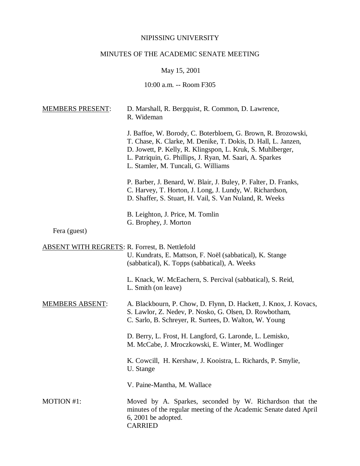# NIPISSING UNIVERSITY

# MINUTES OF THE ACADEMIC SENATE MEETING

May 15, 2001

10:00 a.m. -- Room F305

| <b>MEMBERS PRESENT:</b>                               | D. Marshall, R. Bergquist, R. Common, D. Lawrence,<br>R. Wideman                                                                                                                                                                                                                               |
|-------------------------------------------------------|------------------------------------------------------------------------------------------------------------------------------------------------------------------------------------------------------------------------------------------------------------------------------------------------|
|                                                       | J. Baffoe, W. Borody, C. Boterbloem, G. Brown, R. Brozowski,<br>T. Chase, K. Clarke, M. Denike, T. Dokis, D. Hall, L. Janzen,<br>D. Jowett, P. Kelly, R. Klingspon, L. Kruk, S. Muhlberger,<br>L. Patriquin, G. Phillips, J. Ryan, M. Saari, A. Sparkes<br>L. Stamler, M. Tuncali, G. Williams |
|                                                       | P. Barber, J. Benard, W. Blair, J. Buley, P. Falter, D. Franks,<br>C. Harvey, T. Horton, J. Long, J. Lundy, W. Richardson,<br>D. Shaffer, S. Stuart, H. Vail, S. Van Nuland, R. Weeks                                                                                                          |
| Fera (guest)                                          | B. Leighton, J. Price, M. Tomlin<br>G. Brophey, J. Morton                                                                                                                                                                                                                                      |
| <b>ABSENT WITH REGRETS: R. Forrest, B. Nettlefold</b> | U. Kundrats, E. Mattson, F. Noël (sabbatical), K. Stange<br>(sabbatical), K. Topps (sabbatical), A. Weeks                                                                                                                                                                                      |
|                                                       | L. Knack, W. McEachern, S. Percival (sabbatical), S. Reid,<br>L. Smith (on leave)                                                                                                                                                                                                              |
| <b>MEMBERS ABSENT:</b>                                | A. Blackbourn, P. Chow, D. Flynn, D. Hackett, J. Knox, J. Kovacs,<br>S. Lawlor, Z. Nedev, P. Nosko, G. Olsen, D. Rowbotham,<br>C. Sarlo, B. Schreyer, R. Surtees, D. Walton, W. Young                                                                                                          |
|                                                       | D. Berry, L. Frost, H. Langford, G. Laronde, L. Lemisko,<br>M. McCabe, J. Mroczkowski, E. Winter, M. Wodlinger                                                                                                                                                                                 |
|                                                       | K. Cowcill, H. Kershaw, J. Kooistra, L. Richards, P. Smylie,<br>U. Stange                                                                                                                                                                                                                      |
|                                                       | V. Paine-Mantha, M. Wallace                                                                                                                                                                                                                                                                    |
| <b>MOTION #1:</b>                                     | Moved by A. Sparkes, seconded by W. Richardson that the<br>minutes of the regular meeting of the Academic Senate dated April<br>$6, 2001$ be adopted.<br><b>CARRIED</b>                                                                                                                        |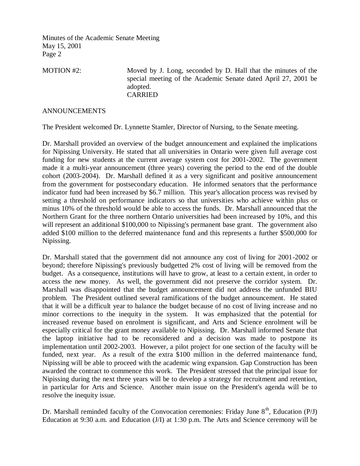MOTION #2: Moved by J. Long, seconded by D. Hall that the minutes of the special meeting of the Academic Senate dated April 27, 2001 be adopted. CARRIED

## ANNOUNCEMENTS

The President welcomed Dr. Lynnette Stamler, Director of Nursing, to the Senate meeting.

Dr. Marshall provided an overview of the budget announcement and explained the implications for Nipissing University. He stated that all universities in Ontario were given full average cost funding for new students at the current average system cost for 2001-2002. The government made it a multi-year announcement (three years) covering the period to the end of the double cohort (2003-2004). Dr. Marshall defined it as a very significant and positive announcement from the government for postsecondary education. He informed senators that the performance indicator fund had been increased by \$6.7 million. This year's allocation process was revised by setting a threshold on performance indicators so that universities who achieve within plus or minus 10% of the threshold would be able to access the funds. Dr. Marshall announced that the Northern Grant for the three northern Ontario universities had been increased by 10%, and this will represent an additional \$100,000 to Nipissing's permanent base grant. The government also added \$100 million to the deferred maintenance fund and this represents a further \$500,000 for Nipissing.

Dr. Marshall stated that the government did not announce any cost of living for 2001-2002 or beyond; therefore Nipissing's previously budgetted 2% cost of living will be removed from the budget. As a consequence, institutions will have to grow, at least to a certain extent, in order to access the new money. As well, the government did not preserve the corridor system. Dr. Marshall was disappointed that the budget announcement did not address the unfunded BIU problem. The President outlined several ramifications of the budget announcement. He stated that it will be a difficult year to balance the budget because of no cost of living increase and no minor corrections to the inequity in the system. It was emphasized that the potential for increased revenue based on enrolment is significant, and Arts and Science enrolment will be especially critical for the grant money available to Nipissing. Dr. Marshall informed Senate that the laptop initiative had to be reconsidered and a decision was made to postpone its implementation until 2002-2003. However, a pilot project for one section of the faculty will be funded, next year. As a result of the extra \$100 million in the deferred maintenance fund, Nipissing will be able to proceed with the academic wing expansion. Gap Construction has been awarded the contract to commence this work. The President stressed that the principal issue for Nipissing during the next three years will be to develop a strategy for recruitment and retention, in particular for Arts and Science. Another main issue on the President's agenda will be to resolve the inequity issue.

Dr. Marshall reminded faculty of the Convocation ceremonies: Friday June  $8<sup>th</sup>$ , Education (P/J) Education at 9:30 a.m. and Education (J/I) at 1:30 p.m. The Arts and Science ceremony will be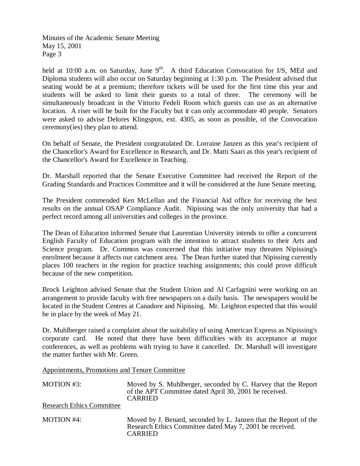held at 10:00 a.m. on Saturday, June  $9<sup>th</sup>$ . A third Education Convocation for I/S, MEd and Diploma students will also occur on Saturday beginning at 1:30 p.m. The President advised that seating would be at a premium; therefore tickets will be used for the first time this year and students will be asked to limit their guests to a total of three. The ceremony will be simultaneously broadcast in the Vittorio Fedeli Room which guests can use as an alternative location. A riser will be built for the Faculty but it can only accommodate 40 people. Senators were asked to advise Delores Klingspon, ext. 4305, as soon as possible, of the Convocation ceremony(ies) they plan to attend.

On behalf of Senate, the President congratulated Dr. Lorraine Janzen as this year's recipient of the Chancellor's Award for Excellence in Research, and Dr. Matti Saari as this year's recipient of the Chancellor's Award for Excellence in Teaching.

Dr. Marshall reported that the Senate Executive Committee had received the Report of the Grading Standards and Practices Committee and it will be considered at the June Senate meeting.

The President commended Ken McLellan and the Financial Aid office for receiving the best results on the annual OSAP Compliance Audit. Nipissing was the only university that had a perfect record among all universities and colleges in the province.

The Dean of Education informed Senate that Laurentian University intends to offer a concurrent English Faculty of Education program with the intention to attract students to their Arts and Science program. Dr. Common was concerned that this initiative may threaten Nipissing's enrolment because it affects our catchment area. The Dean further stated that Nipissing currently places 100 teachers in the region for practice teaching assignments; this could prove difficult because of the new competition.

Brock Leighton advised Senate that the Student Union and Al Carfagnini were working on an arrangement to provide faculty with free newspapers on a daily basis. The newspapers would be located in the Student Centres at Canadore and Nipissing. Mr. Leighton expected that this would be in place by the week of May 21.

Dr. Muhlberger raised a complaint about the suitability of using American Express as Nipissing's corporate card. He noted that there have been difficulties with its acceptance at major conferences, as well as problems with trying to have it cancelled. Dr. Marshall will investigate the matter further with Mr. Green.

Appointments, Promotions and Tenure Committee

| MOTION #3:                       | Moved by S. Muhlberger, seconded by C. Harvey that the Report<br>of the APT Committee dated April 30, 2001 be received.<br><b>CARRIED</b>      |
|----------------------------------|------------------------------------------------------------------------------------------------------------------------------------------------|
| <b>Research Ethics Committee</b> |                                                                                                                                                |
| MOTION $#4$ :                    | Moved by J. Benard, seconded by L. Janzen that the Report of the<br>Research Ethics Committee dated May 7, 2001 be received.<br><b>CARRIED</b> |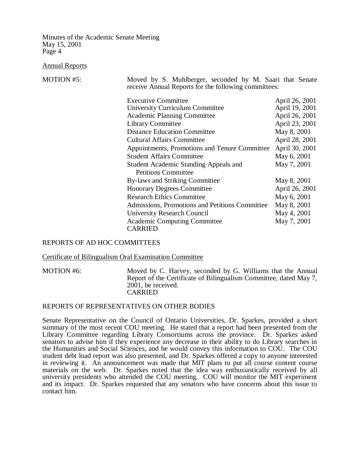Annual Reports

MOTION #5: Moved by S. Muhlberger, seconded by M. Saari that Senate receive Annual Reports for the following committees:

| <b>Executive Committee</b>                     | April 26, 2001 |
|------------------------------------------------|----------------|
| <b>University Curriculum Committee</b>         | April 19, 2001 |
| <b>Academic Planning Committee</b>             | April 26, 2001 |
| Library Committee                              | April 23, 2001 |
| <b>Distance Education Committee</b>            | May 8, 2001    |
| <b>Cultural Affairs Committee</b>              | April 28, 2001 |
| Appointments, Promotions and Tenure Committee  | April 30, 2001 |
| <b>Student Affairs Committee</b>               | May 6, 2001    |
| <b>Student Academic Standing Appeals and</b>   | May 7, 2001    |
| <b>Petitions Committee</b>                     |                |
| By-laws and Striking Committee                 | May 8, 2001    |
| <b>Honorary Degrees Committee</b>              | April 26, 2001 |
| <b>Research Ethics Committee</b>               | May 6, 2001    |
| Admissions, Promotions and Petitions Committee | May 8, 2001    |
| <b>University Research Council</b>             | May 4, 2001    |
| <b>Academic Computing Committee</b>            | May 7, 2001    |
| <b>CARRIED</b>                                 |                |

### REPORTS OF AD HOC COMMITTEES

#### Certificate of Bilingualism Oral Examination Committee

MOTION #6: Moved by C. Harvey, seconded by G. Williams that the Annual Report of the Certificate of Bilingualism Committee, dated May 7, 2001, be received. CARRIED

#### REPORTS OF REPRESENTATIVES ON OTHER BODIES

Senate Representative on the Council of Ontario Universities, Dr. Sparkes, provided a short summary of the most recent COU meeting. He stated that a report had been presented from the Library Committee regarding Library Consortiums across the province. Dr. Sparkes asked senators to advise him if they experience any decrease in their ability to do Library searches in the Humanities and Social Sciences, and he would convey this information to COU. The COU student debt load report was also presented, and Dr. Sparkes offered a copy to anyone interested in reviewing it. An announcement was made that MIT plans to put all course content course materials on the web. Dr. Sparkes noted that the idea was enthusiastically received by all university presidents who attended the COU meeting. COU will monitor the MIT experiment and its impact. Dr. Sparkes requested that any senators who have concerns about this issue to contact him.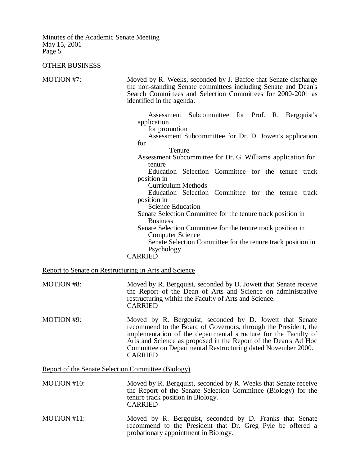#### OTHER BUSINESS

MOTION #7: Moved by R. Weeks, seconded by J. Baffoe that Senate discharge the non-standing Senate committees including Senate and Dean's Search Committees and Selection Committees for 2000-2001 as identified in the agenda:

> Assessment Subcommittee for Prof. R. Bergquist's application

for promotion

Assessment Subcommittee for Dr. D. Jowett's application for

Tenure

Assessment Subcommittee for Dr. G. Williams' application for tenure

Education Selection Committee for the tenure track position in

Curriculum Methods

Education Selection Committee for the tenure track position in

Science Education

Senate Selection Committee for the tenure track position in Business

Senate Selection Committee for the tenure track position in Computer Science

Senate Selection Committee for the tenure track position in Psychology

**CARRIED** 

Report to Senate on Restructuring in Arts and Science

- MOTION #8: Moved by R. Bergquist, seconded by D. Jowett that Senate receive the Report of the Dean of Arts and Science on administrative restructuring within the Faculty of Arts and Science. CARRIED
- MOTION #9: Moved by R. Bergquist, seconded by D. Jowett that Senate recommend to the Board of Governors, through the President, the implementation of the departmental structure for the Faculty of Arts and Science as proposed in the Report of the Dean's Ad Hoc Committee on Departmental Restructuring dated November 2000. CARRIED

Report of the Senate Selection Committee (Biology)

| <b>MOTION</b> #10: | Moved by R. Bergquist, seconded by R. Weeks that Senate receive |
|--------------------|-----------------------------------------------------------------|
|                    | the Report of the Senate Selection Committee (Biology) for the  |
|                    | tenure track position in Biology.                               |
|                    | <b>CARRIED</b>                                                  |

MOTION #11: Moved by R. Bergquist, seconded by D. Franks that Senate recommend to the President that Dr. Greg Pyle be offered a probationary appointment in Biology.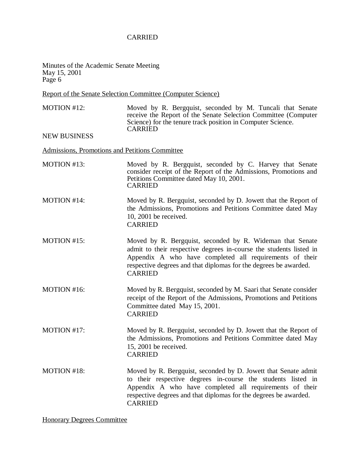# CARRIED

Minutes of the Academic Senate Meeting May 15, 2001 Page 6

## Report of the Senate Selection Committee (Computer Science)

MOTION #12: Moved by R. Bergquist, seconded by M. Tuncali that Senate receive the Report of the Senate Selection Committee (Computer Science) for the tenure track position in Computer Science. CARRIED

NEW BUSINESS

Admissions, Promotions and Petitions Committee

MOTION #13: Moved by R. Bergquist, seconded by C. Harvey that Senate consider receipt of the Report of the Admissions, Promotions and Petitions Committee dated May 10, 2001. CARRIED MOTION #14: Moved by R. Bergquist, seconded by D. Jowett that the Report of the Admissions, Promotions and Petitions Committee dated May 10, 2001 be received. CARRIED MOTION #15: Moved by R. Bergquist, seconded by R. Wideman that Senate admit to their respective degrees in-course the students listed in Appendix A who have completed all requirements of their respective degrees and that diplomas for the degrees be awarded. CARRIED MOTION #16: Moved by R. Bergquist, seconded by M. Saari that Senate consider receipt of the Report of the Admissions, Promotions and Petitions Committee dated May 15, 2001. CARRIED MOTION #17: Moved by R. Bergquist, seconded by D. Jowett that the Report of the Admissions, Promotions and Petitions Committee dated May 15, 2001 be received. CARRIED MOTION #18: Moved by R. Bergquist, seconded by D. Jowett that Senate admit to their respective degrees in-course the students listed in Appendix A who have completed all requirements of their respective degrees and that diplomas for the degrees be awarded. CARRIED

Honorary Degrees Committee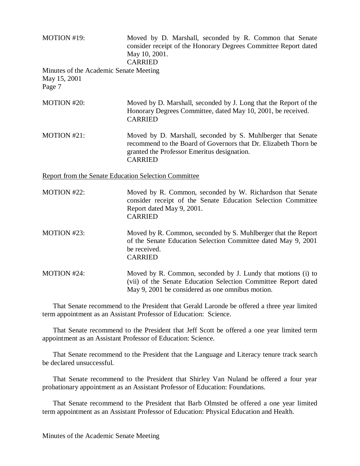| MOTION #19:<br>Minutes of the Academic Senate Meeting<br>May 15, 2001<br>Page 7 | Moved by D. Marshall, seconded by R. Common that Senate<br>consider receipt of the Honorary Degrees Committee Report dated<br>May 10, 2001.<br><b>CARRIED</b>                                   |  |
|---------------------------------------------------------------------------------|-------------------------------------------------------------------------------------------------------------------------------------------------------------------------------------------------|--|
| MOTION #20:                                                                     | Moved by D. Marshall, seconded by J. Long that the Report of the<br>Honorary Degrees Committee, dated May 10, 2001, be received.<br><b>CARRIED</b>                                              |  |
| MOTION #21:                                                                     | Moved by D. Marshall, seconded by S. Muhlberger that Senate<br>recommend to the Board of Governors that Dr. Elizabeth Thorn be<br>granted the Professor Emeritus designation.<br><b>CARRIED</b> |  |
| <b>Report from the Senate Education Selection Committee</b>                     |                                                                                                                                                                                                 |  |
| MOTION #22:                                                                     | Moved by R. Common, seconded by W. Richardson that Senate<br>consider receipt of the Senate Education Selection Committee<br>Report dated May 9, 2001.<br><b>CARRIED</b>                        |  |
| MOTION #23:                                                                     | Moved by R. Common, seconded by S. Muhlberger that the Report<br>of the Senate Education Selection Committee dated May 9, 2001<br>be received.<br><b>CARRIED</b>                                |  |
| MOTION #24:                                                                     | Moved by R. Common, seconded by J. Lundy that motions (i) to<br>(vii) of the Senate Education Selection Committee Report dated<br>May 9, 2001 be considered as one omnibus motion.              |  |

That Senate recommend to the President that Gerald Laronde be offered a three year limited term appointment as an Assistant Professor of Education: Science.

That Senate recommend to the President that Jeff Scott be offered a one year limited term appointment as an Assistant Professor of Education: Science.

That Senate recommend to the President that the Language and Literacy tenure track search be declared unsuccessful.

That Senate recommend to the President that Shirley Van Nuland be offered a four year probationary appointment as an Assistant Professor of Education: Foundations.

That Senate recommend to the President that Barb Olmsted be offered a one year limited term appointment as an Assistant Professor of Education: Physical Education and Health.